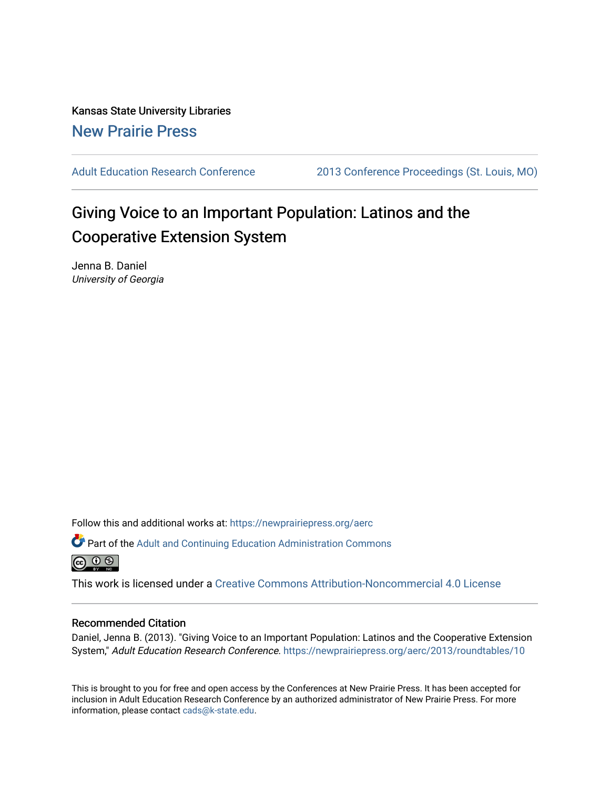Kansas State University Libraries [New Prairie Press](https://newprairiepress.org/) 

[Adult Education Research Conference](https://newprairiepress.org/aerc) [2013 Conference Proceedings \(St. Louis, MO\)](https://newprairiepress.org/aerc/2013) 

# Giving Voice to an Important Population: Latinos and the Cooperative Extension System

Jenna B. Daniel University of Georgia

Follow this and additional works at: [https://newprairiepress.org/aerc](https://newprairiepress.org/aerc?utm_source=newprairiepress.org%2Faerc%2F2013%2Froundtables%2F10&utm_medium=PDF&utm_campaign=PDFCoverPages)

Part of the [Adult and Continuing Education Administration Commons](http://network.bepress.com/hgg/discipline/789?utm_source=newprairiepress.org%2Faerc%2F2013%2Froundtables%2F10&utm_medium=PDF&utm_campaign=PDFCoverPages) <u>ெ ெ ⊜</u>

This work is licensed under a [Creative Commons Attribution-Noncommercial 4.0 License](https://creativecommons.org/licenses/by-nc/4.0/)

# Recommended Citation

Daniel, Jenna B. (2013). "Giving Voice to an Important Population: Latinos and the Cooperative Extension System," Adult Education Research Conference. <https://newprairiepress.org/aerc/2013/roundtables/10>

This is brought to you for free and open access by the Conferences at New Prairie Press. It has been accepted for inclusion in Adult Education Research Conference by an authorized administrator of New Prairie Press. For more information, please contact [cads@k-state.edu](mailto:cads@k-state.edu).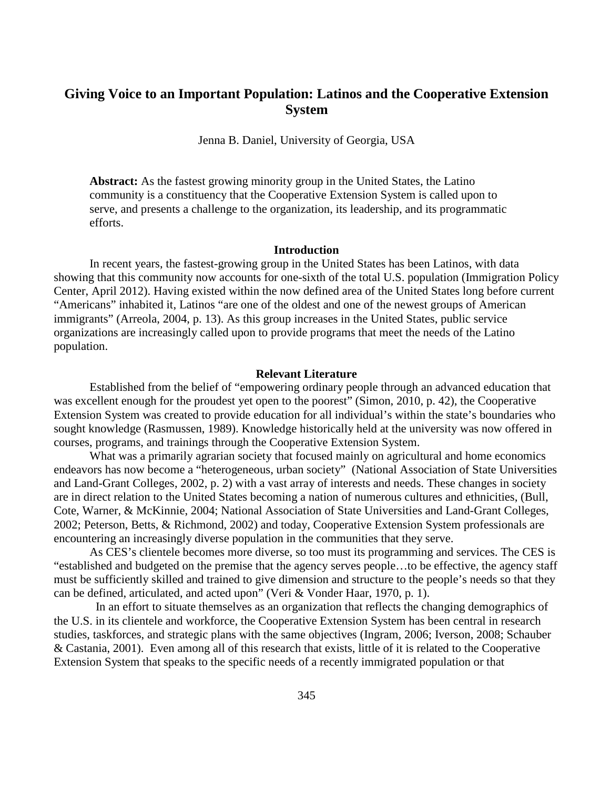# **Giving Voice to an Important Population: Latinos and the Cooperative Extension System**

Jenna B. Daniel, University of Georgia, USA

**Abstract:** As the fastest growing minority group in the United States, the Latino community is a constituency that the Cooperative Extension System is called upon to serve, and presents a challenge to the organization, its leadership, and its programmatic efforts.

#### **Introduction**

In recent years, the fastest-growing group in the United States has been Latinos, with data showing that this community now accounts for one-sixth of the total U.S. population (Immigration Policy Center, April 2012). Having existed within the now defined area of the United States long before current "Americans" inhabited it, Latinos "are one of the oldest and one of the newest groups of American immigrants" (Arreola, 2004, p. 13). As this group increases in the United States, public service organizations are increasingly called upon to provide programs that meet the needs of the Latino population.

#### **Relevant Literature**

Established from the belief of "empowering ordinary people through an advanced education that was excellent enough for the proudest yet open to the poorest" (Simon, 2010, p. 42), the Cooperative Extension System was created to provide education for all individual's within the state's boundaries who sought knowledge (Rasmussen, 1989). Knowledge historically held at the university was now offered in courses, programs, and trainings through the Cooperative Extension System.

What was a primarily agrarian society that focused mainly on agricultural and home economics endeavors has now become a "heterogeneous, urban society" (National Association of State Universities and Land-Grant Colleges, 2002, p. 2) with a vast array of interests and needs. These changes in society are in direct relation to the United States becoming a nation of numerous cultures and ethnicities, (Bull, Cote, Warner, & McKinnie, 2004; National Association of State Universities and Land-Grant Colleges, 2002; Peterson, Betts, & Richmond, 2002) and today, Cooperative Extension System professionals are encountering an increasingly diverse population in the communities that they serve.

As CES's clientele becomes more diverse, so too must its programming and services. The CES is "established and budgeted on the premise that the agency serves people…to be effective, the agency staff must be sufficiently skilled and trained to give dimension and structure to the people's needs so that they can be defined, articulated, and acted upon" (Veri & Vonder Haar, 1970, p. 1).

 In an effort to situate themselves as an organization that reflects the changing demographics of the U.S. in its clientele and workforce, the Cooperative Extension System has been central in research studies, taskforces, and strategic plans with the same objectives (Ingram, 2006; Iverson, 2008; Schauber & Castania, 2001). Even among all of this research that exists, little of it is related to the Cooperative Extension System that speaks to the specific needs of a recently immigrated population or that